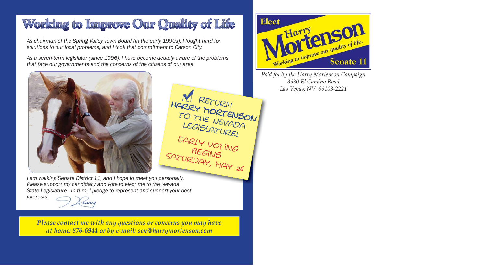## Working to Improve Our Quality of Life

*As chairman of the Spring Valley Town Board (in the early 1990s), I fought hard for solutions to our local problems, and I took that commitment to Carson City.*

*As a seven-term legislator (since 1996), I have become acutely aware of the problems that face our governments and the concerns of the citizens of our area.* 



HARRY MORTENSON TO THE NEVADA<br>TO THE NEVADA LEGISLATURE!<br>EARLY VOTING BEGINS SATURDAY, MAY 26

*I am walking Senate District 11, and I hope to meet you personally. Please support my candidacy and vote to elect me to the Nevada e Nevada State Legislature. In turn, I pledge to represent and support your best interests.*

*Please contact me with any questions or concerns you may have at home: 876-6944 or by e-mail: sen@harrymortenson.com*



*Paid for by the Harry Mortenson Campaign 3930 El Camino RoadLas Vegas, NV 89103-2221*